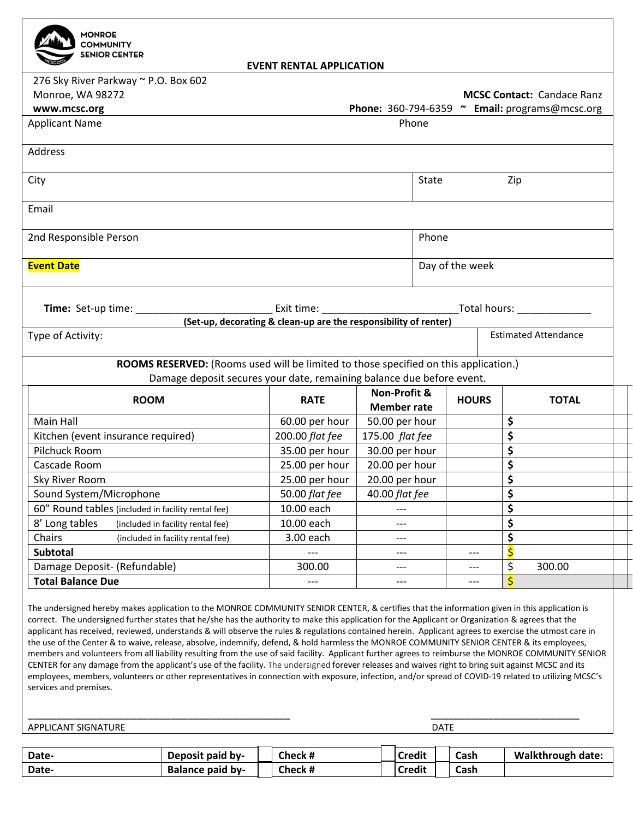| <b>MONROE</b><br><b>COMMUNITY</b>                                                                                                                                                                                                                                                                                                                                                                                                                                                                                                                                                                                                                                                                                                                                                                                                                                                                                                                                                                                                                                                                                                     |                                                                                      |                                                                  |                |                 |                 |             |                         |              |                                                |
|---------------------------------------------------------------------------------------------------------------------------------------------------------------------------------------------------------------------------------------------------------------------------------------------------------------------------------------------------------------------------------------------------------------------------------------------------------------------------------------------------------------------------------------------------------------------------------------------------------------------------------------------------------------------------------------------------------------------------------------------------------------------------------------------------------------------------------------------------------------------------------------------------------------------------------------------------------------------------------------------------------------------------------------------------------------------------------------------------------------------------------------|--------------------------------------------------------------------------------------|------------------------------------------------------------------|----------------|-----------------|-----------------|-------------|-------------------------|--------------|------------------------------------------------|
| <b>SENIOR CENTER</b>                                                                                                                                                                                                                                                                                                                                                                                                                                                                                                                                                                                                                                                                                                                                                                                                                                                                                                                                                                                                                                                                                                                  |                                                                                      | <b>EVENT RENTAL APPLICATION</b>                                  |                |                 |                 |             |                         |              |                                                |
| 276 Sky River Parkway ~ P.O. Box 602                                                                                                                                                                                                                                                                                                                                                                                                                                                                                                                                                                                                                                                                                                                                                                                                                                                                                                                                                                                                                                                                                                  |                                                                                      |                                                                  |                |                 |                 |             |                         |              |                                                |
| Monroe, WA 98272                                                                                                                                                                                                                                                                                                                                                                                                                                                                                                                                                                                                                                                                                                                                                                                                                                                                                                                                                                                                                                                                                                                      |                                                                                      |                                                                  |                |                 |                 |             |                         |              | <b>MCSC Contact: Candace Ranz</b>              |
| www.mcsc.org                                                                                                                                                                                                                                                                                                                                                                                                                                                                                                                                                                                                                                                                                                                                                                                                                                                                                                                                                                                                                                                                                                                          |                                                                                      |                                                                  |                |                 |                 |             |                         |              | Phone: 360-794-6359 ~ Email: programs@mcsc.org |
| <b>Applicant Name</b>                                                                                                                                                                                                                                                                                                                                                                                                                                                                                                                                                                                                                                                                                                                                                                                                                                                                                                                                                                                                                                                                                                                 | Phone                                                                                |                                                                  |                |                 |                 |             |                         |              |                                                |
| Address                                                                                                                                                                                                                                                                                                                                                                                                                                                                                                                                                                                                                                                                                                                                                                                                                                                                                                                                                                                                                                                                                                                               |                                                                                      |                                                                  |                |                 |                 |             |                         |              |                                                |
| City                                                                                                                                                                                                                                                                                                                                                                                                                                                                                                                                                                                                                                                                                                                                                                                                                                                                                                                                                                                                                                                                                                                                  |                                                                                      |                                                                  |                |                 | State<br>Zip    |             |                         |              |                                                |
|                                                                                                                                                                                                                                                                                                                                                                                                                                                                                                                                                                                                                                                                                                                                                                                                                                                                                                                                                                                                                                                                                                                                       |                                                                                      |                                                                  |                |                 |                 |             |                         |              |                                                |
| Email                                                                                                                                                                                                                                                                                                                                                                                                                                                                                                                                                                                                                                                                                                                                                                                                                                                                                                                                                                                                                                                                                                                                 |                                                                                      |                                                                  |                |                 |                 |             |                         |              |                                                |
| 2nd Responsible Person                                                                                                                                                                                                                                                                                                                                                                                                                                                                                                                                                                                                                                                                                                                                                                                                                                                                                                                                                                                                                                                                                                                |                                                                                      |                                                                  |                |                 | Phone           |             |                         |              |                                                |
| <b>Event Date</b>                                                                                                                                                                                                                                                                                                                                                                                                                                                                                                                                                                                                                                                                                                                                                                                                                                                                                                                                                                                                                                                                                                                     |                                                                                      |                                                                  |                |                 | Day of the week |             |                         |              |                                                |
|                                                                                                                                                                                                                                                                                                                                                                                                                                                                                                                                                                                                                                                                                                                                                                                                                                                                                                                                                                                                                                                                                                                                       |                                                                                      |                                                                  |                |                 |                 |             |                         |              |                                                |
|                                                                                                                                                                                                                                                                                                                                                                                                                                                                                                                                                                                                                                                                                                                                                                                                                                                                                                                                                                                                                                                                                                                                       |                                                                                      | Exit time: __________________________                            |                |                 |                 |             |                         |              |                                                |
|                                                                                                                                                                                                                                                                                                                                                                                                                                                                                                                                                                                                                                                                                                                                                                                                                                                                                                                                                                                                                                                                                                                                       |                                                                                      | (Set-up, decorating & clean-up are the responsibility of renter) |                |                 |                 |             |                         |              |                                                |
| Type of Activity:                                                                                                                                                                                                                                                                                                                                                                                                                                                                                                                                                                                                                                                                                                                                                                                                                                                                                                                                                                                                                                                                                                                     |                                                                                      |                                                                  |                |                 |                 |             |                         |              | <b>Estimated Attendance</b>                    |
|                                                                                                                                                                                                                                                                                                                                                                                                                                                                                                                                                                                                                                                                                                                                                                                                                                                                                                                                                                                                                                                                                                                                       | ROOMS RESERVED: (Rooms used will be limited to those specified on this application.) |                                                                  |                |                 |                 |             |                         |              |                                                |
|                                                                                                                                                                                                                                                                                                                                                                                                                                                                                                                                                                                                                                                                                                                                                                                                                                                                                                                                                                                                                                                                                                                                       | Damage deposit secures your date, remaining balance due before event.                |                                                                  |                |                 |                 |             |                         |              |                                                |
| <b>ROOM</b>                                                                                                                                                                                                                                                                                                                                                                                                                                                                                                                                                                                                                                                                                                                                                                                                                                                                                                                                                                                                                                                                                                                           |                                                                                      | Non-Profit &<br><b>RATE</b><br><b>Member rate</b>                |                |                 | <b>HOURS</b>    |             |                         | <b>TOTAL</b> |                                                |
| Main Hall                                                                                                                                                                                                                                                                                                                                                                                                                                                                                                                                                                                                                                                                                                                                                                                                                                                                                                                                                                                                                                                                                                                             |                                                                                      | 60.00 per hour                                                   | 50.00 per hour |                 |                 |             | \$                      |              |                                                |
| Kitchen (event insurance required)                                                                                                                                                                                                                                                                                                                                                                                                                                                                                                                                                                                                                                                                                                                                                                                                                                                                                                                                                                                                                                                                                                    |                                                                                      | 200.00 flat fee                                                  |                | 175.00 flat fee |                 |             |                         | \$           |                                                |
| Pilchuck Room                                                                                                                                                                                                                                                                                                                                                                                                                                                                                                                                                                                                                                                                                                                                                                                                                                                                                                                                                                                                                                                                                                                         |                                                                                      | 35.00 per hour                                                   | 30.00 per hour |                 |                 |             | \$                      |              |                                                |
| Cascade Room                                                                                                                                                                                                                                                                                                                                                                                                                                                                                                                                                                                                                                                                                                                                                                                                                                                                                                                                                                                                                                                                                                                          |                                                                                      | 25.00 per hour                                                   | 20.00 per hour |                 |                 |             | \$                      |              |                                                |
| Sky River Room                                                                                                                                                                                                                                                                                                                                                                                                                                                                                                                                                                                                                                                                                                                                                                                                                                                                                                                                                                                                                                                                                                                        |                                                                                      | 25.00 per hour                                                   | 20.00 per hour |                 |                 |             | \$                      |              |                                                |
| Sound System/Microphone                                                                                                                                                                                                                                                                                                                                                                                                                                                                                                                                                                                                                                                                                                                                                                                                                                                                                                                                                                                                                                                                                                               |                                                                                      | 50.00 flat fee                                                   | 40.00 flat fee |                 |                 |             | \$                      |              |                                                |
| 60" Round tables (included in facility rental fee)                                                                                                                                                                                                                                                                                                                                                                                                                                                                                                                                                                                                                                                                                                                                                                                                                                                                                                                                                                                                                                                                                    |                                                                                      | 10.00 each                                                       | ---            |                 |                 |             | \$                      |              |                                                |
| 8' Long tables<br>(included in facility rental fee)                                                                                                                                                                                                                                                                                                                                                                                                                                                                                                                                                                                                                                                                                                                                                                                                                                                                                                                                                                                                                                                                                   |                                                                                      | 10.00 each                                                       | ---            |                 |                 |             | \$                      |              |                                                |
| Chairs<br>(included in facility rental fee)                                                                                                                                                                                                                                                                                                                                                                                                                                                                                                                                                                                                                                                                                                                                                                                                                                                                                                                                                                                                                                                                                           |                                                                                      | 3.00 each                                                        | ---            |                 |                 |             |                         | \$           |                                                |
| <b>Subtotal</b>                                                                                                                                                                                                                                                                                                                                                                                                                                                                                                                                                                                                                                                                                                                                                                                                                                                                                                                                                                                                                                                                                                                       |                                                                                      |                                                                  | $---$          |                 |                 | ---         |                         | \$           |                                                |
| Damage Deposit- (Refundable)                                                                                                                                                                                                                                                                                                                                                                                                                                                                                                                                                                                                                                                                                                                                                                                                                                                                                                                                                                                                                                                                                                          |                                                                                      | 300.00                                                           |                | ---             |                 | ---         |                         | \$           | 300.00                                         |
| <b>Total Balance Due</b>                                                                                                                                                                                                                                                                                                                                                                                                                                                                                                                                                                                                                                                                                                                                                                                                                                                                                                                                                                                                                                                                                                              |                                                                                      |                                                                  | ---            |                 | ---             |             | $\overline{\mathsf{s}}$ |              |                                                |
| The undersigned hereby makes application to the MONROE COMMUNITY SENIOR CENTER, & certifies that the information given in this application is<br>correct. The undersigned further states that he/she has the authority to make this application for the Applicant or Organization & agrees that the<br>applicant has received, reviewed, understands & will observe the rules & regulations contained herein. Applicant agrees to exercise the utmost care in<br>the use of the Center & to waive, release, absolve, indemnify, defend, & hold harmless the MONROE COMMUNITY SENIOR CENTER & its employees,<br>members and volunteers from all liability resulting from the use of said facility. Applicant further agrees to reimburse the MONROE COMMUNITY SENIOR<br>CENTER for any damage from the applicant's use of the facility. The undersigned forever releases and waives right to bring suit against MCSC and its<br>employees, members, volunteers or other representatives in connection with exposure, infection, and/or spread of COVID-19 related to utilizing MCSC's<br>services and premises.<br>APPLICANT SIGNATURE |                                                                                      |                                                                  |                |                 |                 | <b>DATE</b> |                         |              |                                                |
|                                                                                                                                                                                                                                                                                                                                                                                                                                                                                                                                                                                                                                                                                                                                                                                                                                                                                                                                                                                                                                                                                                                                       |                                                                                      |                                                                  |                |                 |                 |             |                         |              |                                                |
| Date-                                                                                                                                                                                                                                                                                                                                                                                                                                                                                                                                                                                                                                                                                                                                                                                                                                                                                                                                                                                                                                                                                                                                 | Deposit paid by-                                                                     | Check #                                                          |                |                 | <b>Credit</b>   | Cash        |                         |              | <b>Walkthrough date:</b>                       |
| Date-                                                                                                                                                                                                                                                                                                                                                                                                                                                                                                                                                                                                                                                                                                                                                                                                                                                                                                                                                                                                                                                                                                                                 | <b>Balance paid by-</b>                                                              | Check #                                                          |                |                 | <b>Credit</b>   | Cash        |                         |              |                                                |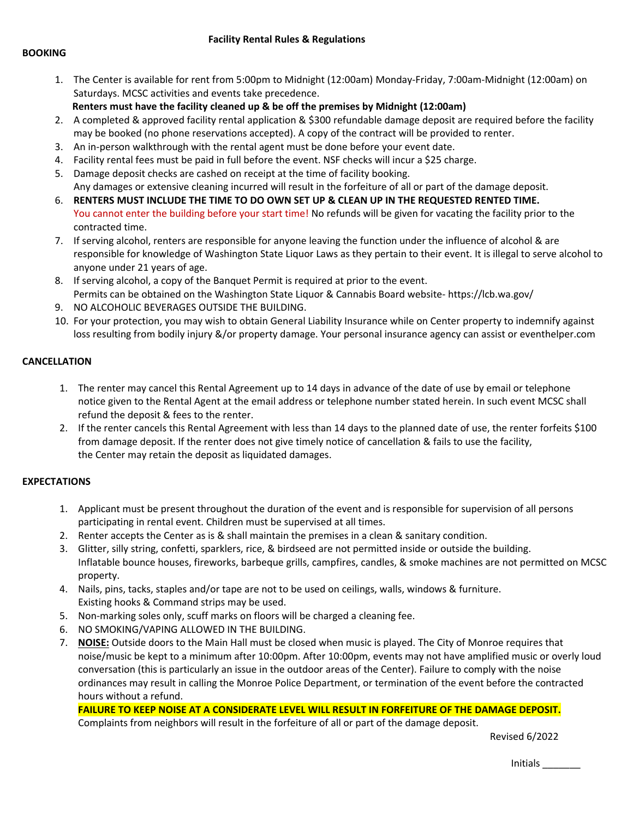**Facility Rental Rules & Regulations**

#### **BOOKING**

- 1. The Center is available for rent from 5:00pm to Midnight (12:00am) Monday-Friday, 7:00am-Midnight (12:00am) on Saturdays. MCSC activities and events take precedence.
	- **Renters must have the facility cleaned up & be off the premises by Midnight (12:00am)**
- 2. A completed & approved facility rental application & \$300 refundable damage deposit are required before the facility may be booked (no phone reservations accepted). A copy of the contract will be provided to renter.
- 3. An in-person walkthrough with the rental agent must be done before your event date.
- 4. Facility rental fees must be paid in full before the event. NSF checks will incur a \$25 charge.
- 5. Damage deposit checks are cashed on receipt at the time of facility booking. Any damages or extensive cleaning incurred will result in the forfeiture of all or part of the damage deposit.
- 6. **RENTERS MUST INCLUDE THE TIME TO DO OWN SET UP & CLEAN UP IN THE REQUESTED RENTED TIME.**  You cannot enter the building before your start time! No refunds will be given for vacating the facility prior to the contracted time.
- 7. If serving alcohol, renters are responsible for anyone leaving the function under the influence of alcohol & are responsible for knowledge of Washington State Liquor Laws as they pertain to their event. It is illegal to serve alcohol to anyone under 21 years of age.
- 8. If serving alcohol, a copy of the Banquet Permit is required at prior to the event. Permits can be obtained on the Washington State Liquor & Cannabis Board website- <https://lcb.wa.gov/>
- 9. NO ALCOHOLIC BEVERAGES OUTSIDE THE BUILDING.
- 10. For your protection, you may wish to obtain General Liability Insurance while on Center property to indemnify against loss resulting from bodily injury &/or property damage. Your personal insurance agency can assist or eventhelper.com

## **CANCELLATION**

- 1. The renter may cancel this Rental Agreement up to 14 days in advance of the date of use by email or telephone notice given to the Rental Agent at the email address or telephone number stated herein. In such event MCSC shall refund the deposit & fees to the renter.
- 2. If the renter cancels this Rental Agreement with less than 14 days to the planned date of use, the renter forfeits \$100 from damage deposit. If the renter does not give timely notice of cancellation & fails to use the facility, the Center may retain the deposit as liquidated damages.

### **EXPECTATIONS**

- 1. Applicant must be present throughout the duration of the event and is responsible for supervision of all persons participating in rental event. Children must be supervised at all times.
- 2. Renter accepts the Center as is & shall maintain the premises in a clean & sanitary condition.
- 3. Glitter, silly string, confetti, sparklers, rice, & birdseed are not permitted inside or outside the building. Inflatable bounce houses, fireworks, barbeque grills, campfires, candles, & smoke machines are not permitted on MCSC property.
- 4. Nails, pins, tacks, staples and/or tape are not to be used on ceilings, walls, windows & furniture. Existing hooks & Command strips may be used.
- 5. Non-marking soles only, scuff marks on floors will be charged a cleaning fee.
- 6. NO SMOKING/VAPING ALLOWED IN THE BUILDING.
- 7. **NOISE:** Outside doors to the Main Hall must be closed when music is played. The City of Monroe requires that noise/music be kept to a minimum after 10:00pm. After 10:00pm, events may not have amplified music or overly loud conversation (this is particularly an issue in the outdoor areas of the Center). Failure to comply with the noise ordinances may result in calling the Monroe Police Department, or termination of the event before the contracted hours without a refund.

# **FAILURE TO KEEP NOISE AT A CONSIDERATE LEVEL WILL RESULT IN FORFEITURE OF THE DAMAGE DEPOSIT.**

Complaints from neighbors will result in the forfeiture of all or part of the damage deposit.

Revised 6/2022